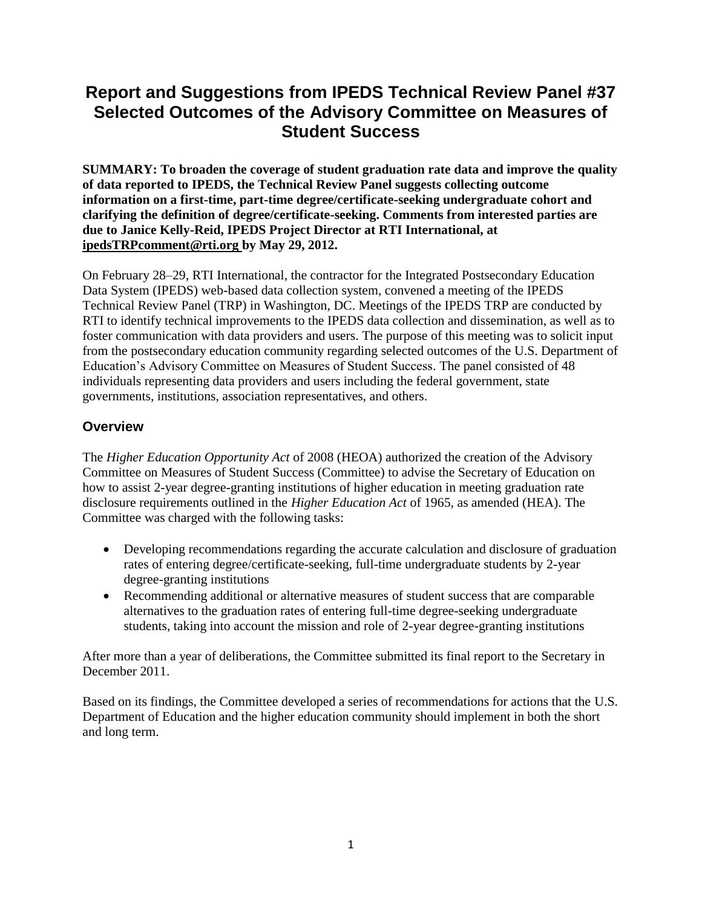# **Report and Suggestions from IPEDS Technical Review Panel #37 Selected Outcomes of the Advisory Committee on Measures of Student Success**

**SUMMARY: To broaden the coverage of student graduation rate data and improve the quality of data reported to IPEDS, the Technical Review Panel suggests collecting outcome information on a first-time, part-time degree/certificate-seeking undergraduate cohort and clarifying the definition of degree/certificate-seeking. Comments from interested parties are due to Janice Kelly-Reid, IPEDS Project Director at RTI International, at ipedsTRPcomment@rti.org by May 29, 2012.**

On February 28–29, RTI International, the contractor for the Integrated Postsecondary Education Data System (IPEDS) web-based data collection system, convened a meeting of the IPEDS Technical Review Panel (TRP) in Washington, DC. Meetings of the IPEDS TRP are conducted by RTI to identify technical improvements to the IPEDS data collection and dissemination, as well as to foster communication with data providers and users. The purpose of this meeting was to solicit input from the postsecondary education community regarding selected outcomes of the U.S. Department of Education's Advisory Committee on Measures of Student Success. The panel consisted of 48 individuals representing data providers and users including the federal government, state governments, institutions, association representatives, and others.

### **Overview**

The *Higher Education Opportunity Act* of 2008 (HEOA) authorized the creation of the Advisory Committee on Measures of Student Success (Committee) to advise the Secretary of Education on how to assist 2-year degree-granting institutions of higher education in meeting graduation rate disclosure requirements outlined in the *Higher Education Act* of 1965, as amended (HEA). The Committee was charged with the following tasks:

- Developing recommendations regarding the accurate calculation and disclosure of graduation rates of entering degree/certificate-seeking, full-time undergraduate students by 2-year degree-granting institutions
- Recommending additional or alternative measures of student success that are comparable alternatives to the graduation rates of entering full-time degree-seeking undergraduate students, taking into account the mission and role of 2-year degree-granting institutions

After more than a year of deliberations, the Committee submitted its final report to the Secretary in December 2011.

Based on its findings, the Committee developed a series of recommendations for actions that the U.S. Department of Education and the higher education community should implement in both the short and long term.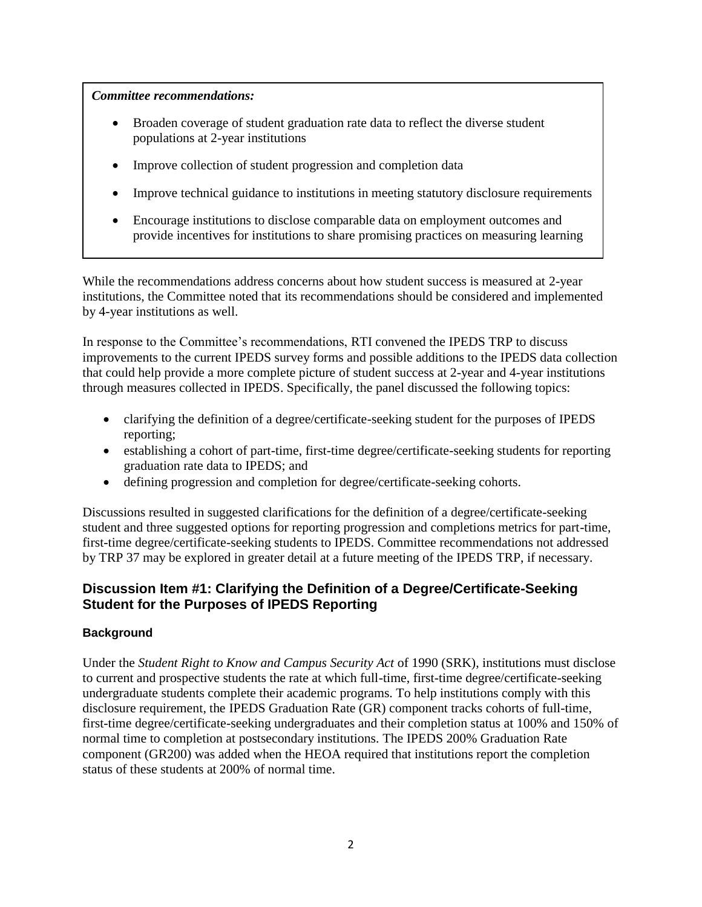#### *Committee recommendations:*

- Broaden coverage of student graduation rate data to reflect the diverse student populations at 2-year institutions
- Improve collection of student progression and completion data
- Improve technical guidance to institutions in meeting statutory disclosure requirements
- Encourage institutions to disclose comparable data on employment outcomes and provide incentives for institutions to share promising practices on measuring learning

While the recommendations address concerns about how student success is measured at 2-year institutions, the Committee noted that its recommendations should be considered and implemented by 4-year institutions as well.

In response to the Committee's recommendations, RTI convened the IPEDS TRP to discuss improvements to the current IPEDS survey forms and possible additions to the IPEDS data collection that could help provide a more complete picture of student success at 2-year and 4-year institutions through measures collected in IPEDS. Specifically, the panel discussed the following topics:

- clarifying the definition of a degree/certificate-seeking student for the purposes of IPEDS reporting;
- establishing a cohort of part-time, first-time degree/certificate-seeking students for reporting graduation rate data to IPEDS; and
- defining progression and completion for degree/certificate-seeking cohorts.

Discussions resulted in suggested clarifications for the definition of a degree/certificate-seeking student and three suggested options for reporting progression and completions metrics for part-time, first-time degree/certificate-seeking students to IPEDS. Committee recommendations not addressed by TRP 37 may be explored in greater detail at a future meeting of the IPEDS TRP, if necessary.

### **Discussion Item #1: Clarifying the Definition of a Degree/Certificate-Seeking Student for the Purposes of IPEDS Reporting**

#### **Background**

Under the *Student Right to Know and Campus Security Act* of 1990 (SRK), institutions must disclose to current and prospective students the rate at which full-time, first-time degree/certificate-seeking undergraduate students complete their academic programs. To help institutions comply with this disclosure requirement, the IPEDS Graduation Rate (GR) component tracks cohorts of full-time, first-time degree/certificate-seeking undergraduates and their completion status at 100% and 150% of normal time to completion at postsecondary institutions. The IPEDS 200% Graduation Rate component (GR200) was added when the HEOA required that institutions report the completion status of these students at 200% of normal time.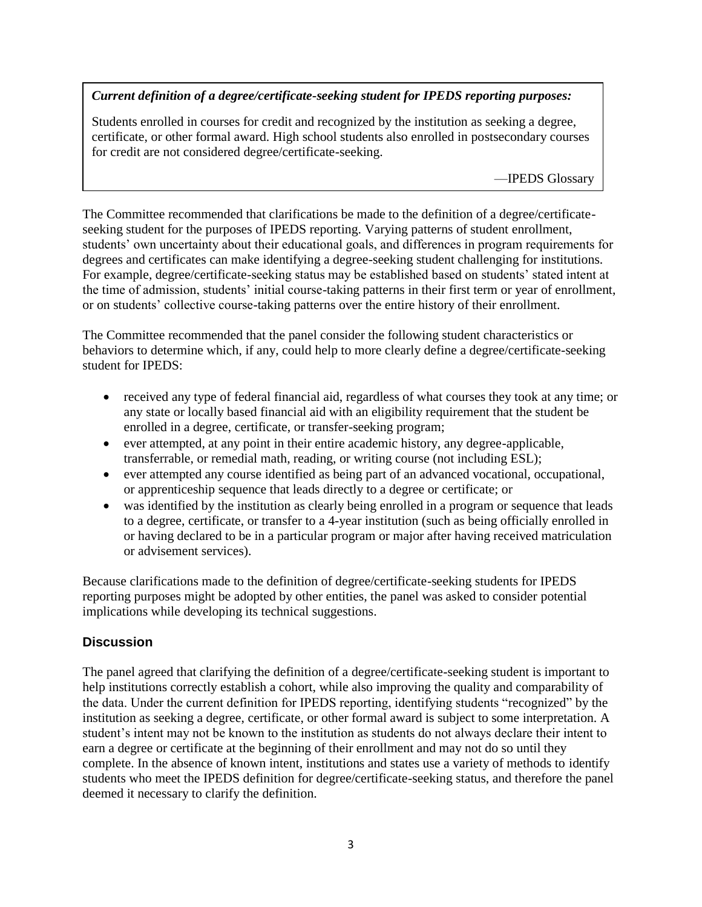### *Current definition of a degree/certificate-seeking student for IPEDS reporting purposes:*

Students enrolled in courses for credit and recognized by the institution as seeking a degree, certificate, or other formal award. High school students also enrolled in postsecondary courses for credit are not considered degree/certificate-seeking.

—IPEDS Glossary

The Committee recommended that clarifications be made to the definition of a degree/certificateseeking student for the purposes of IPEDS reporting. Varying patterns of student enrollment, students' own uncertainty about their educational goals, and differences in program requirements for degrees and certificates can make identifying a degree-seeking student challenging for institutions. For example, degree/certificate-seeking status may be established based on students' stated intent at the time of admission, students' initial course-taking patterns in their first term or year of enrollment, or on students' collective course-taking patterns over the entire history of their enrollment.

The Committee recommended that the panel consider the following student characteristics or behaviors to determine which, if any, could help to more clearly define a degree/certificate-seeking student for IPEDS:

- received any type of federal financial aid, regardless of what courses they took at any time; or any state or locally based financial aid with an eligibility requirement that the student be enrolled in a degree, certificate, or transfer-seeking program;
- ever attempted, at any point in their entire academic history, any degree-applicable, transferrable, or remedial math, reading, or writing course (not including ESL);
- ever attempted any course identified as being part of an advanced vocational, occupational, or apprenticeship sequence that leads directly to a degree or certificate; or
- was identified by the institution as clearly being enrolled in a program or sequence that leads to a degree, certificate, or transfer to a 4-year institution (such as being officially enrolled in or having declared to be in a particular program or major after having received matriculation or advisement services).

Because clarifications made to the definition of degree/certificate-seeking students for IPEDS reporting purposes might be adopted by other entities, the panel was asked to consider potential implications while developing its technical suggestions.

### **Discussion**

The panel agreed that clarifying the definition of a degree/certificate-seeking student is important to help institutions correctly establish a cohort, while also improving the quality and comparability of the data. Under the current definition for IPEDS reporting, identifying students "recognized" by the institution as seeking a degree, certificate, or other formal award is subject to some interpretation. A student's intent may not be known to the institution as students do not always declare their intent to earn a degree or certificate at the beginning of their enrollment and may not do so until they complete. In the absence of known intent, institutions and states use a variety of methods to identify students who meet the IPEDS definition for degree/certificate-seeking status, and therefore the panel deemed it necessary to clarify the definition.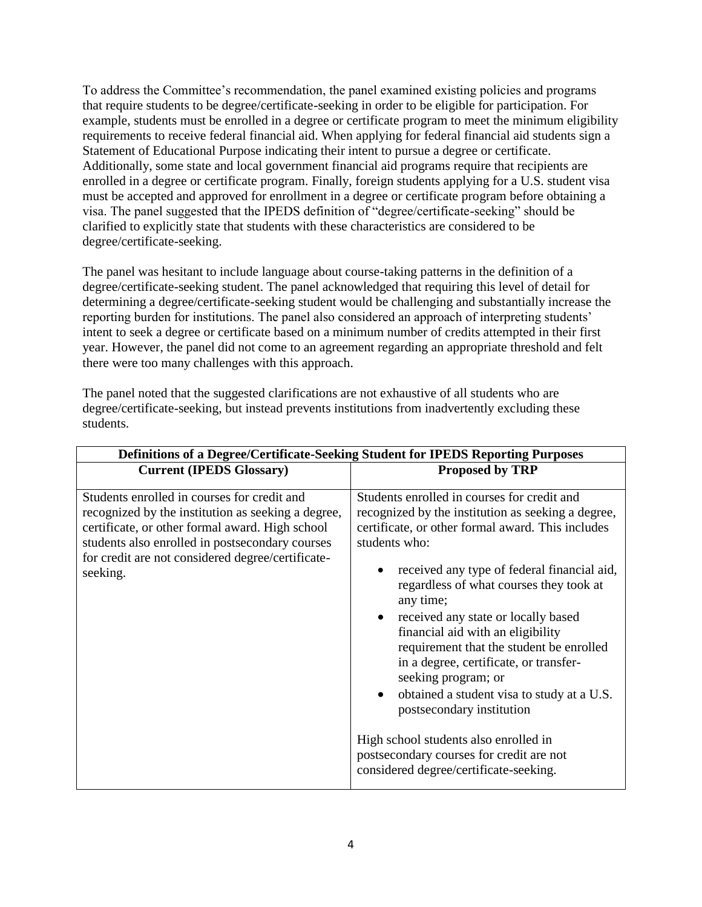To address the Committee's recommendation, the panel examined existing policies and programs that require students to be degree/certificate-seeking in order to be eligible for participation. For example, students must be enrolled in a degree or certificate program to meet the minimum eligibility requirements to receive federal financial aid. When applying for federal financial aid students sign a Statement of Educational Purpose indicating their intent to pursue a degree or certificate. Additionally, some state and local government financial aid programs require that recipients are enrolled in a degree or certificate program. Finally, foreign students applying for a U.S. student visa must be accepted and approved for enrollment in a degree or certificate program before obtaining a visa. The panel suggested that the IPEDS definition of "degree/certificate-seeking" should be clarified to explicitly state that students with these characteristics are considered to be degree/certificate-seeking.

The panel was hesitant to include language about course-taking patterns in the definition of a degree/certificate-seeking student. The panel acknowledged that requiring this level of detail for determining a degree/certificate-seeking student would be challenging and substantially increase the reporting burden for institutions. The panel also considered an approach of interpreting students' intent to seek a degree or certificate based on a minimum number of credits attempted in their first year. However, the panel did not come to an agreement regarding an appropriate threshold and felt there were too many challenges with this approach.

The panel noted that the suggested clarifications are not exhaustive of all students who are degree/certificate-seeking, but instead prevents institutions from inadvertently excluding these students.

| Definitions of a Degree/Certificate-Seeking Student for IPEDS Reporting Purposes                                                                                                                                                                                         |                                                                                                                                                                                                                                                                                                                                                                                                                                                                                                                                                                                                                                                                                                  |  |  |  |  |  |  |  |
|--------------------------------------------------------------------------------------------------------------------------------------------------------------------------------------------------------------------------------------------------------------------------|--------------------------------------------------------------------------------------------------------------------------------------------------------------------------------------------------------------------------------------------------------------------------------------------------------------------------------------------------------------------------------------------------------------------------------------------------------------------------------------------------------------------------------------------------------------------------------------------------------------------------------------------------------------------------------------------------|--|--|--|--|--|--|--|
| <b>Current (IPEDS Glossary)</b>                                                                                                                                                                                                                                          | <b>Proposed by TRP</b>                                                                                                                                                                                                                                                                                                                                                                                                                                                                                                                                                                                                                                                                           |  |  |  |  |  |  |  |
| Students enrolled in courses for credit and<br>recognized by the institution as seeking a degree,<br>certificate, or other formal award. High school<br>students also enrolled in postsecondary courses<br>for credit are not considered degree/certificate-<br>seeking. | Students enrolled in courses for credit and<br>recognized by the institution as seeking a degree,<br>certificate, or other formal award. This includes<br>students who:<br>received any type of federal financial aid,<br>regardless of what courses they took at<br>any time;<br>• received any state or locally based<br>financial aid with an eligibility<br>requirement that the student be enrolled<br>in a degree, certificate, or transfer-<br>seeking program; or<br>obtained a student visa to study at a U.S.<br>$\bullet$<br>postsecondary institution<br>High school students also enrolled in<br>postsecondary courses for credit are not<br>considered degree/certificate-seeking. |  |  |  |  |  |  |  |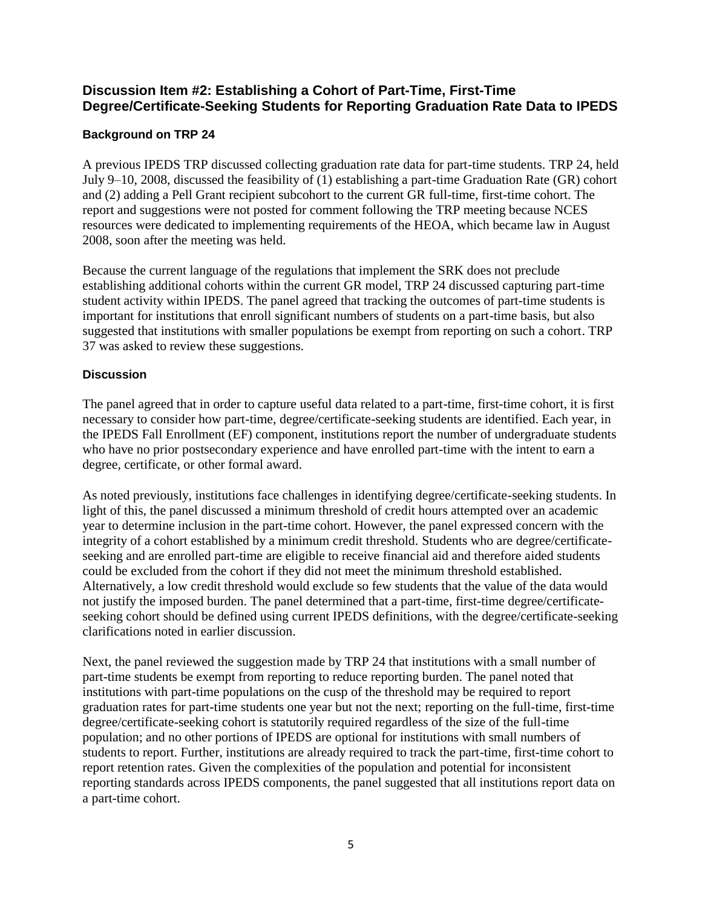### **Discussion Item #2: Establishing a Cohort of Part-Time, First-Time Degree/Certificate-Seeking Students for Reporting Graduation Rate Data to IPEDS**

### **Background on TRP 24**

A previous IPEDS TRP discussed collecting graduation rate data for part-time students. TRP 24, held July 9–10, 2008, discussed the feasibility of (1) establishing a part-time Graduation Rate (GR) cohort and (2) adding a Pell Grant recipient subcohort to the current GR full-time, first-time cohort. The report and suggestions were not posted for comment following the TRP meeting because NCES resources were dedicated to implementing requirements of the HEOA, which became law in August 2008, soon after the meeting was held.

Because the current language of the regulations that implement the SRK does not preclude establishing additional cohorts within the current GR model, TRP 24 discussed capturing part-time student activity within IPEDS. The panel agreed that tracking the outcomes of part-time students is important for institutions that enroll significant numbers of students on a part-time basis, but also suggested that institutions with smaller populations be exempt from reporting on such a cohort. TRP 37 was asked to review these suggestions.

#### **Discussion**

The panel agreed that in order to capture useful data related to a part-time, first-time cohort, it is first necessary to consider how part-time, degree/certificate-seeking students are identified. Each year, in the IPEDS Fall Enrollment (EF) component, institutions report the number of undergraduate students who have no prior postsecondary experience and have enrolled part-time with the intent to earn a degree, certificate, or other formal award.

As noted previously, institutions face challenges in identifying degree/certificate-seeking students. In light of this, the panel discussed a minimum threshold of credit hours attempted over an academic year to determine inclusion in the part-time cohort. However, the panel expressed concern with the integrity of a cohort established by a minimum credit threshold. Students who are degree/certificateseeking and are enrolled part-time are eligible to receive financial aid and therefore aided students could be excluded from the cohort if they did not meet the minimum threshold established. Alternatively, a low credit threshold would exclude so few students that the value of the data would not justify the imposed burden. The panel determined that a part-time, first-time degree/certificateseeking cohort should be defined using current IPEDS definitions, with the degree/certificate-seeking clarifications noted in earlier discussion.

Next, the panel reviewed the suggestion made by TRP 24 that institutions with a small number of part-time students be exempt from reporting to reduce reporting burden. The panel noted that institutions with part-time populations on the cusp of the threshold may be required to report graduation rates for part-time students one year but not the next; reporting on the full-time, first-time degree/certificate-seeking cohort is statutorily required regardless of the size of the full-time population; and no other portions of IPEDS are optional for institutions with small numbers of students to report. Further, institutions are already required to track the part-time, first-time cohort to report retention rates. Given the complexities of the population and potential for inconsistent reporting standards across IPEDS components, the panel suggested that all institutions report data on a part-time cohort.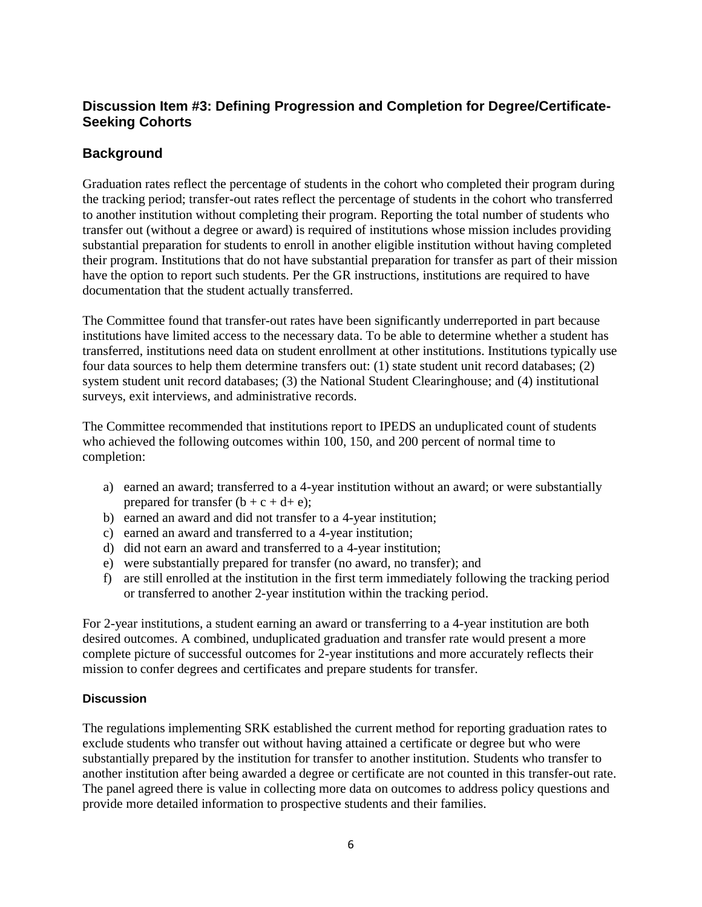# **Discussion Item #3: Defining Progression and Completion for Degree/Certificate-Seeking Cohorts**

# **Background**

Graduation rates reflect the percentage of students in the cohort who completed their program during the tracking period; transfer-out rates reflect the percentage of students in the cohort who transferred to another institution without completing their program. Reporting the total number of students who transfer out (without a degree or award) is required of institutions whose mission includes providing substantial preparation for students to enroll in another eligible institution without having completed their program. Institutions that do not have substantial preparation for transfer as part of their mission have the option to report such students. Per the GR instructions, institutions are required to have documentation that the student actually transferred.

The Committee found that transfer-out rates have been significantly underreported in part because institutions have limited access to the necessary data. To be able to determine whether a student has transferred, institutions need data on student enrollment at other institutions. Institutions typically use four data sources to help them determine transfers out: (1) state student unit record databases; (2) system student unit record databases; (3) the National Student Clearinghouse; and (4) institutional surveys, exit interviews, and administrative records.

The Committee recommended that institutions report to IPEDS an unduplicated count of students who achieved the following outcomes within 100, 150, and 200 percent of normal time to completion:

- a) earned an award; transferred to a 4-year institution without an award; or were substantially prepared for transfer  $(b + c + d + e)$ ;
- b) earned an award and did not transfer to a 4-year institution;
- c) earned an award and transferred to a 4-year institution;
- d) did not earn an award and transferred to a 4-year institution;
- e) were substantially prepared for transfer (no award, no transfer); and
- f) are still enrolled at the institution in the first term immediately following the tracking period or transferred to another 2-year institution within the tracking period.

For 2-year institutions, a student earning an award or transferring to a 4-year institution are both desired outcomes. A combined, unduplicated graduation and transfer rate would present a more complete picture of successful outcomes for 2-year institutions and more accurately reflects their mission to confer degrees and certificates and prepare students for transfer.

#### **Discussion**

The regulations implementing SRK established the current method for reporting graduation rates to exclude students who transfer out without having attained a certificate or degree but who were substantially prepared by the institution for transfer to another institution. Students who transfer to another institution after being awarded a degree or certificate are not counted in this transfer-out rate. The panel agreed there is value in collecting more data on outcomes to address policy questions and provide more detailed information to prospective students and their families.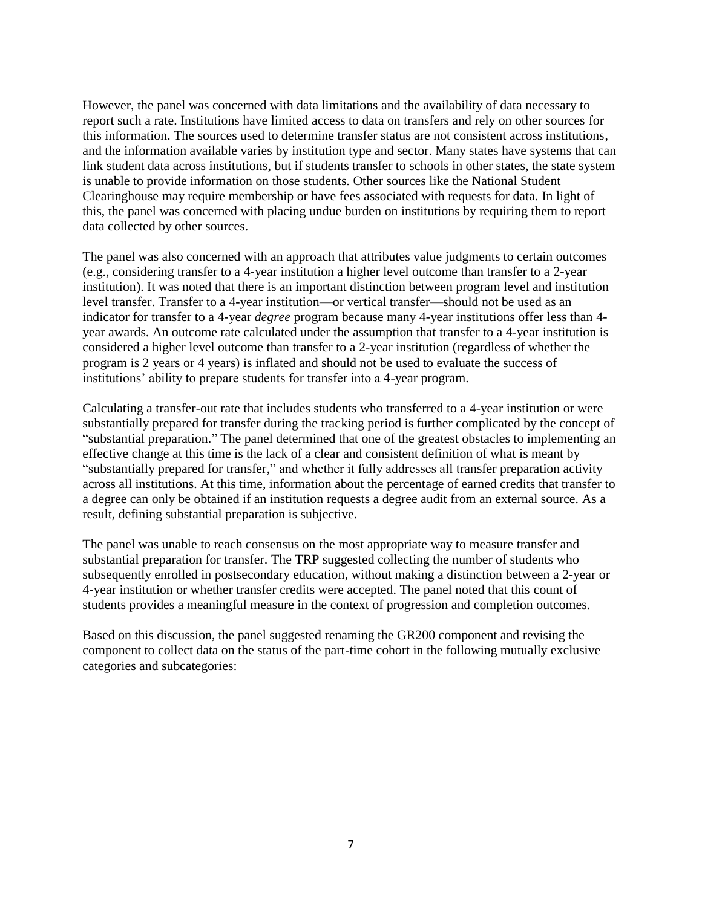However, the panel was concerned with data limitations and the availability of data necessary to report such a rate. Institutions have limited access to data on transfers and rely on other sources for this information. The sources used to determine transfer status are not consistent across institutions, and the information available varies by institution type and sector. Many states have systems that can link student data across institutions, but if students transfer to schools in other states, the state system is unable to provide information on those students. Other sources like the National Student Clearinghouse may require membership or have fees associated with requests for data. In light of this, the panel was concerned with placing undue burden on institutions by requiring them to report data collected by other sources.

The panel was also concerned with an approach that attributes value judgments to certain outcomes (e.g., considering transfer to a 4-year institution a higher level outcome than transfer to a 2-year institution). It was noted that there is an important distinction between program level and institution level transfer. Transfer to a 4-year institution—or vertical transfer—should not be used as an indicator for transfer to a 4-year *degree* program because many 4-year institutions offer less than 4 year awards. An outcome rate calculated under the assumption that transfer to a 4-year institution is considered a higher level outcome than transfer to a 2-year institution (regardless of whether the program is 2 years or 4 years) is inflated and should not be used to evaluate the success of institutions' ability to prepare students for transfer into a 4-year program.

Calculating a transfer-out rate that includes students who transferred to a 4-year institution or were substantially prepared for transfer during the tracking period is further complicated by the concept of "substantial preparation." The panel determined that one of the greatest obstacles to implementing an effective change at this time is the lack of a clear and consistent definition of what is meant by "substantially prepared for transfer," and whether it fully addresses all transfer preparation activity across all institutions. At this time, information about the percentage of earned credits that transfer to a degree can only be obtained if an institution requests a degree audit from an external source. As a result, defining substantial preparation is subjective.

The panel was unable to reach consensus on the most appropriate way to measure transfer and substantial preparation for transfer. The TRP suggested collecting the number of students who subsequently enrolled in postsecondary education, without making a distinction between a 2-year or 4-year institution or whether transfer credits were accepted. The panel noted that this count of students provides a meaningful measure in the context of progression and completion outcomes.

Based on this discussion, the panel suggested renaming the GR200 component and revising the component to collect data on the status of the part-time cohort in the following mutually exclusive categories and subcategories: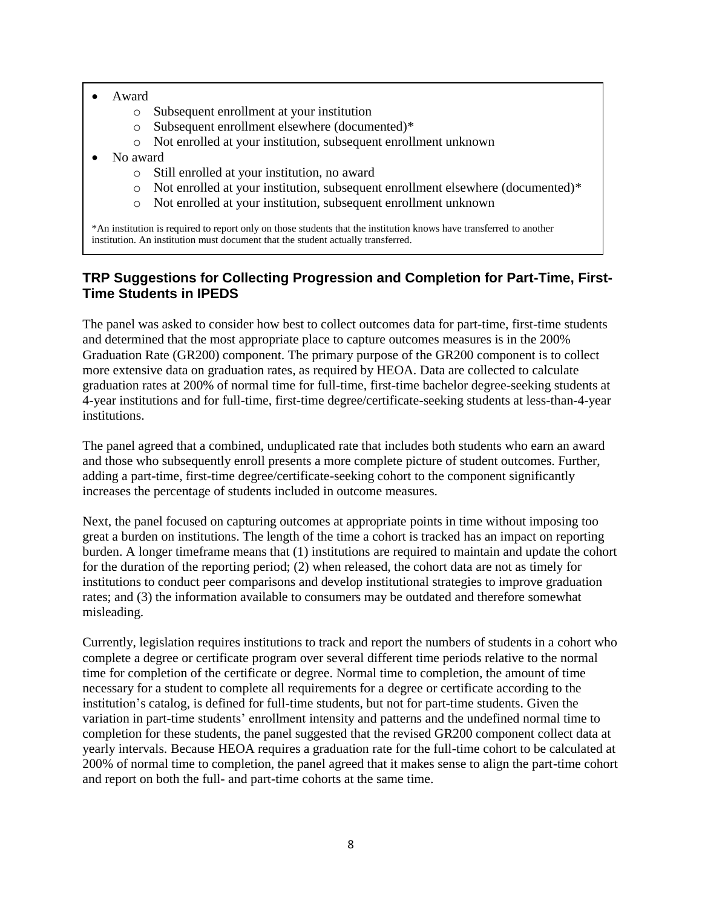- Award
	- o Subsequent enrollment at your institution
	- o Subsequent enrollment elsewhere (documented)\*
	- o Not enrolled at your institution, subsequent enrollment unknown
- No award
	- o Still enrolled at your institution, no award
	- o Not enrolled at your institution, subsequent enrollment elsewhere (documented)\*
	- o Not enrolled at your institution, subsequent enrollment unknown

\*An institution is required to report only on those students that the institution knows have transferred to another institution. An institution must document that the student actually transferred.

### **TRP Suggestions for Collecting Progression and Completion for Part-Time, First-Time Students in IPEDS**

The panel was asked to consider how best to collect outcomes data for part-time, first-time students and determined that the most appropriate place to capture outcomes measures is in the 200% Graduation Rate (GR200) component. The primary purpose of the GR200 component is to collect more extensive data on graduation rates, as required by HEOA. Data are collected to calculate graduation rates at 200% of normal time for full-time, first-time bachelor degree-seeking students at 4-year institutions and for full-time, first-time degree/certificate-seeking students at less-than-4-year institutions.

The panel agreed that a combined, unduplicated rate that includes both students who earn an award and those who subsequently enroll presents a more complete picture of student outcomes. Further, adding a part-time, first-time degree/certificate-seeking cohort to the component significantly increases the percentage of students included in outcome measures.

Next, the panel focused on capturing outcomes at appropriate points in time without imposing too great a burden on institutions. The length of the time a cohort is tracked has an impact on reporting burden. A longer timeframe means that (1) institutions are required to maintain and update the cohort for the duration of the reporting period; (2) when released, the cohort data are not as timely for institutions to conduct peer comparisons and develop institutional strategies to improve graduation rates; and (3) the information available to consumers may be outdated and therefore somewhat misleading.

Currently, legislation requires institutions to track and report the numbers of students in a cohort who complete a degree or certificate program over several different time periods relative to the normal time for completion of the certificate or degree. Normal time to completion, the amount of time necessary for a student to complete all requirements for a [degree](https://surveys.nces.ed.gov/ipeds/GlossaryPage.aspx?idlink=169) or [certificate](https://surveys.nces.ed.gov/ipeds/GlossaryPage.aspx?idlink=105) according to the institution's catalog, is defined for full-time students, but not for part-time students. Given the variation in part-time students' enrollment intensity and patterns and the undefined normal time to completion for these students, the panel suggested that the revised GR200 component collect data at yearly intervals. Because HEOA requires a graduation rate for the full-time cohort to be calculated at 200% of normal time to completion, the panel agreed that it makes sense to align the part-time cohort and report on both the full- and part-time cohorts at the same time.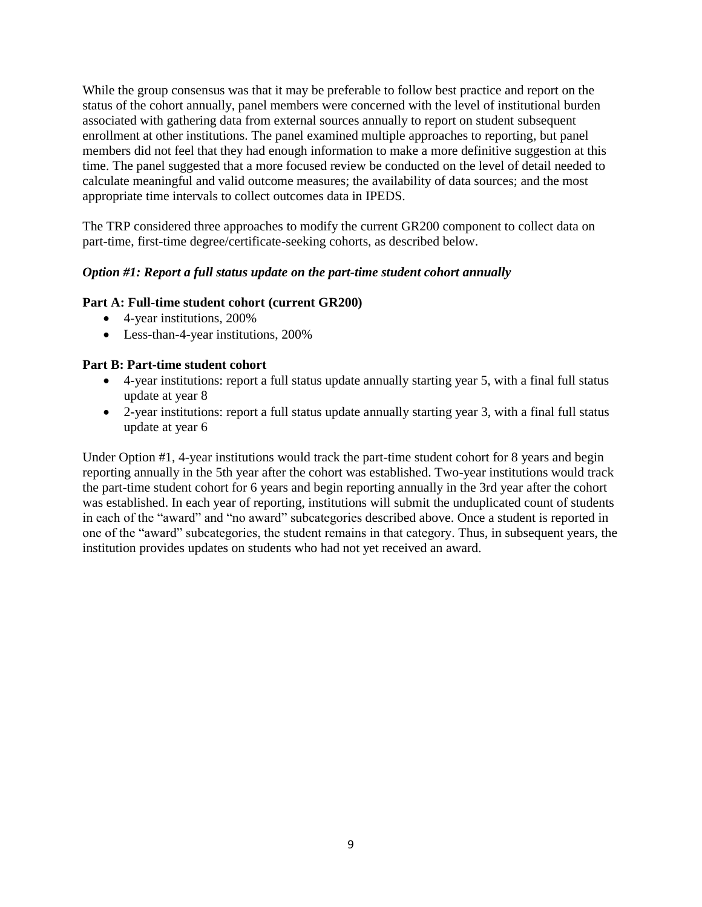While the group consensus was that it may be preferable to follow best practice and report on the status of the cohort annually, panel members were concerned with the level of institutional burden associated with gathering data from external sources annually to report on student subsequent enrollment at other institutions. The panel examined multiple approaches to reporting, but panel members did not feel that they had enough information to make a more definitive suggestion at this time. The panel suggested that a more focused review be conducted on the level of detail needed to calculate meaningful and valid outcome measures; the availability of data sources; and the most appropriate time intervals to collect outcomes data in IPEDS.

The TRP considered three approaches to modify the current GR200 component to collect data on part-time, first-time degree/certificate-seeking cohorts, as described below.

#### *Option #1: Report a full status update on the part-time student cohort annually*

#### **Part A: Full-time student cohort (current GR200)**

- 4-year institutions, 200%
- Less-than-4-year institutions, 200%

#### **Part B: Part-time student cohort**

- 4-year institutions: report a full status update annually starting year 5, with a final full status update at year 8
- 2-year institutions: report a full status update annually starting year 3, with a final full status update at year 6

Under Option #1, 4-year institutions would track the part-time student cohort for 8 years and begin reporting annually in the 5th year after the cohort was established. Two-year institutions would track the part-time student cohort for 6 years and begin reporting annually in the 3rd year after the cohort was established. In each year of reporting, institutions will submit the unduplicated count of students in each of the "award" and "no award" subcategories described above. Once a student is reported in one of the "award" subcategories, the student remains in that category. Thus, in subsequent years, the institution provides updates on students who had not yet received an award.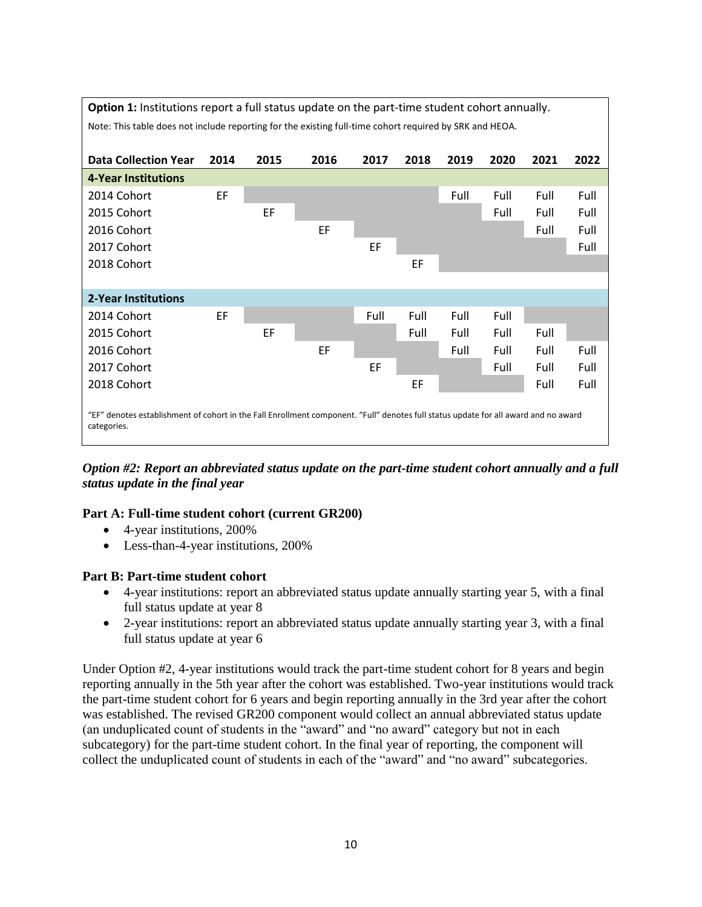

*Option #2: Report an abbreviated status update on the part-time student cohort annually and a full status update in the final year*

#### **Part A: Full-time student cohort (current GR200)**

- 4-year institutions, 200%
- Less-than-4-year institutions, 200%

#### **Part B: Part-time student cohort**

- 4-year institutions: report an abbreviated status update annually starting year 5, with a final full status update at year 8
- 2-year institutions: report an abbreviated status update annually starting year 3, with a final full status update at year 6

Under Option #2, 4-year institutions would track the part-time student cohort for 8 years and begin reporting annually in the 5th year after the cohort was established. Two-year institutions would track the part-time student cohort for 6 years and begin reporting annually in the 3rd year after the cohort was established. The revised GR200 component would collect an annual abbreviated status update (an unduplicated count of students in the "award" and "no award" category but not in each subcategory) for the part-time student cohort. In the final year of reporting, the component will collect the unduplicated count of students in each of the "award" and "no award" subcategories.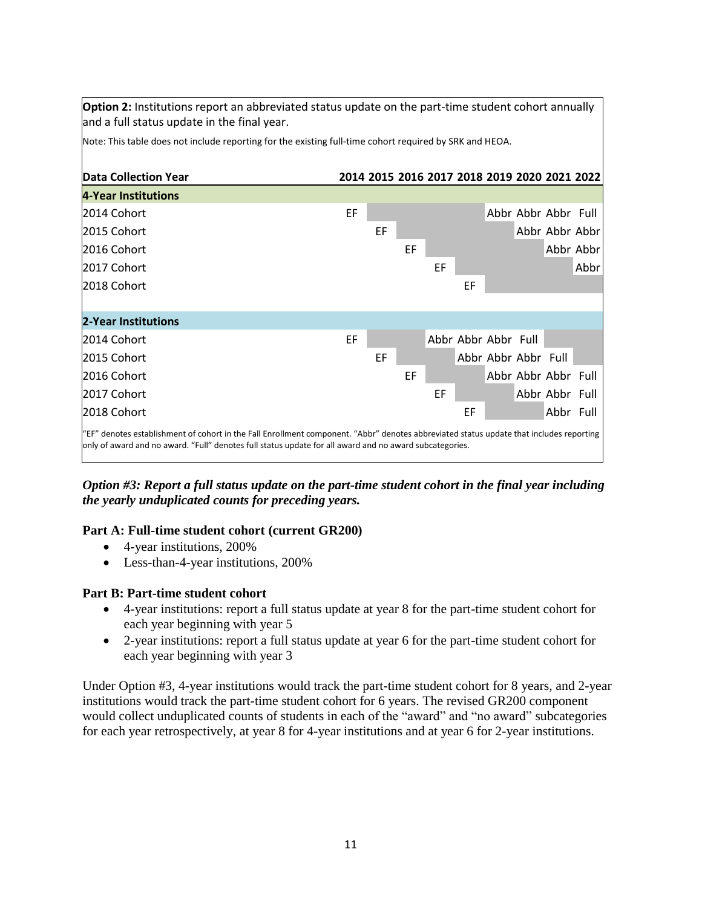**Option 2:** Institutions report an abbreviated status update on the part-time student cohort annually and a full status update in the final year.

Note: This table does not include reporting for the existing full-time cohort required by SRK and HEOA.

| Data Collection Year                                                                                                                                                                                                                               |    |    | 2014 2015 2016 2017 2018 2019 2020 2021 2022 |    |    |                     |  |                     |           |
|----------------------------------------------------------------------------------------------------------------------------------------------------------------------------------------------------------------------------------------------------|----|----|----------------------------------------------|----|----|---------------------|--|---------------------|-----------|
| 4-Year Institutions                                                                                                                                                                                                                                |    |    |                                              |    |    |                     |  |                     |           |
| 2014 Cohort                                                                                                                                                                                                                                        | EF |    |                                              |    |    |                     |  | Abbr Abbr Abbr Full |           |
| l2015 Cohort                                                                                                                                                                                                                                       |    | EF |                                              |    |    |                     |  | Abbr Abbr Abbr      |           |
| 2016 Cohort                                                                                                                                                                                                                                        |    |    | EF                                           |    |    |                     |  |                     | Abbr Abbr |
| 2017 Cohort                                                                                                                                                                                                                                        |    |    |                                              | EF |    |                     |  |                     | Abbr      |
| 2018 Cohort                                                                                                                                                                                                                                        |    |    |                                              |    | EF |                     |  |                     |           |
|                                                                                                                                                                                                                                                    |    |    |                                              |    |    |                     |  |                     |           |
| 2-Year Institutions                                                                                                                                                                                                                                |    |    |                                              |    |    |                     |  |                     |           |
| 2014 Cohort                                                                                                                                                                                                                                        | EF |    |                                              |    |    | Abbr Abbr Abbr Full |  |                     |           |
| 2015 Cohort                                                                                                                                                                                                                                        |    | EF |                                              |    |    | Abbr Abbr Abbr Full |  |                     |           |
| 2016 Cohort                                                                                                                                                                                                                                        |    |    | EF                                           |    |    |                     |  | Abbr Abbr Abbr Full |           |
| 2017 Cohort                                                                                                                                                                                                                                        |    |    |                                              | EF |    |                     |  | Abbr Abbr Full      |           |
| 2018 Cohort                                                                                                                                                                                                                                        |    |    |                                              |    | EF |                     |  | Abbr Full           |           |
| "EF" denotes establishment of cohort in the Fall Enrollment component. "Abbr" denotes abbreviated status update that includes reporting<br>only of award and no award. "Full" denotes full status update for all award and no award subcategories. |    |    |                                              |    |    |                     |  |                     |           |

*Option #3: Report a full status update on the part-time student cohort in the final year including the yearly unduplicated counts for preceding years.* 

#### **Part A: Full-time student cohort (current GR200)**

- 4-year institutions, 200%
- Less-than-4-year institutions, 200%

#### **Part B: Part-time student cohort**

- 4-year institutions: report a full status update at year 8 for the part-time student cohort for each year beginning with year 5
- 2-year institutions: report a full status update at year 6 for the part-time student cohort for each year beginning with year 3

Under Option #3, 4-year institutions would track the part-time student cohort for 8 years, and 2-year institutions would track the part-time student cohort for 6 years. The revised GR200 component would collect unduplicated counts of students in each of the "award" and "no award" subcategories for each year retrospectively, at year 8 for 4-year institutions and at year 6 for 2-year institutions.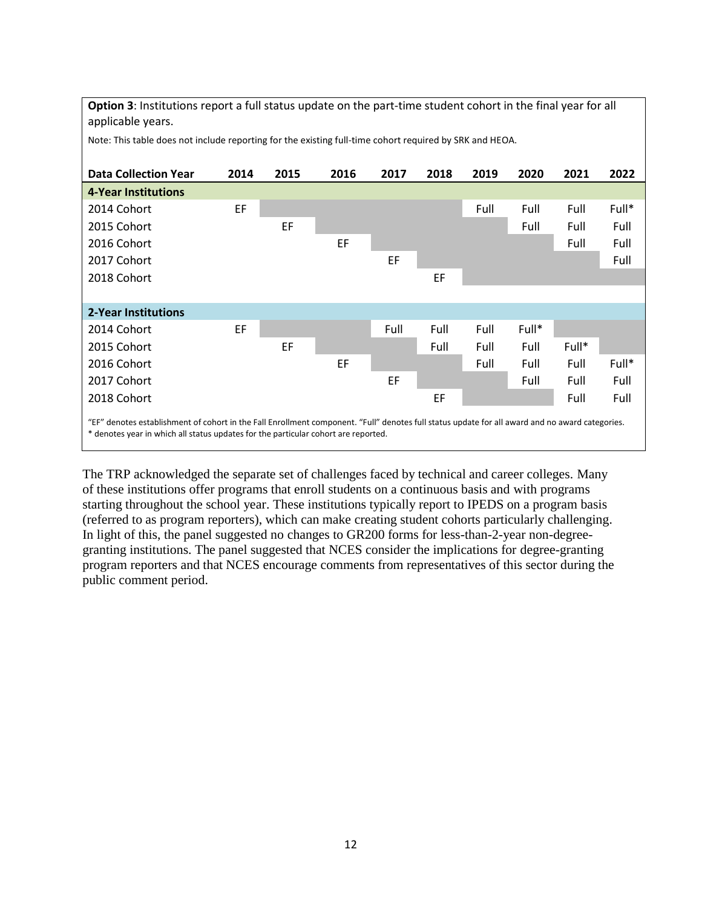**Option 3**: Institutions report a full status update on the part-time student cohort in the final year for all applicable years.

Note: This table does not include reporting for the existing full-time cohort required by SRK and HEOA.

| <b>Data Collection Year</b>                                                                                                                                                                                                           | 2014 | 2015 | 2016 | 2017 | 2018 | 2019 | 2020  | 2021  | 2022  |
|---------------------------------------------------------------------------------------------------------------------------------------------------------------------------------------------------------------------------------------|------|------|------|------|------|------|-------|-------|-------|
| <b>4-Year Institutions</b>                                                                                                                                                                                                            |      |      |      |      |      |      |       |       |       |
| 2014 Cohort                                                                                                                                                                                                                           | EF   |      |      |      |      | Full | Full  | Full  | Full* |
| 2015 Cohort                                                                                                                                                                                                                           |      | EF   |      |      |      |      | Full  | Full  | Full  |
| 2016 Cohort                                                                                                                                                                                                                           |      |      | EF   |      |      |      |       | Full  | Full  |
| 2017 Cohort                                                                                                                                                                                                                           |      |      |      | EF   |      |      |       |       | Full  |
| 2018 Cohort                                                                                                                                                                                                                           |      |      |      |      | EF   |      |       |       |       |
|                                                                                                                                                                                                                                       |      |      |      |      |      |      |       |       |       |
| 2-Year Institutions                                                                                                                                                                                                                   |      |      |      |      |      |      |       |       |       |
| 2014 Cohort                                                                                                                                                                                                                           | EF   |      |      | Full | Full | Full | Full* |       |       |
| 2015 Cohort                                                                                                                                                                                                                           |      | EF   |      |      | Full | Full | Full  | Full* |       |
| 2016 Cohort                                                                                                                                                                                                                           |      |      | EF   |      |      | Full | Full  | Full  | Full* |
| 2017 Cohort                                                                                                                                                                                                                           |      |      |      | EF   |      |      | Full  | Full  | Full  |
| 2018 Cohort                                                                                                                                                                                                                           |      |      |      |      | EF   |      |       | Full  | Full  |
| "EF" denotes establishment of cohort in the Fall Enrollment component. "Full" denotes full status update for all award and no award categories.<br>* denotes year in which all status updates for the particular cohort are reported. |      |      |      |      |      |      |       |       |       |

The TRP acknowledged the separate set of challenges faced by technical and career colleges. Many of these institutions offer programs that enroll students on a continuous basis and with programs starting throughout the school year. These institutions typically report to IPEDS on a program basis (referred to as program reporters), which can make creating student cohorts particularly challenging. In light of this, the panel suggested no changes to GR200 forms for less-than-2-year non-degreegranting institutions. The panel suggested that NCES consider the implications for degree-granting program reporters and that NCES encourage comments from representatives of this sector during the public comment period.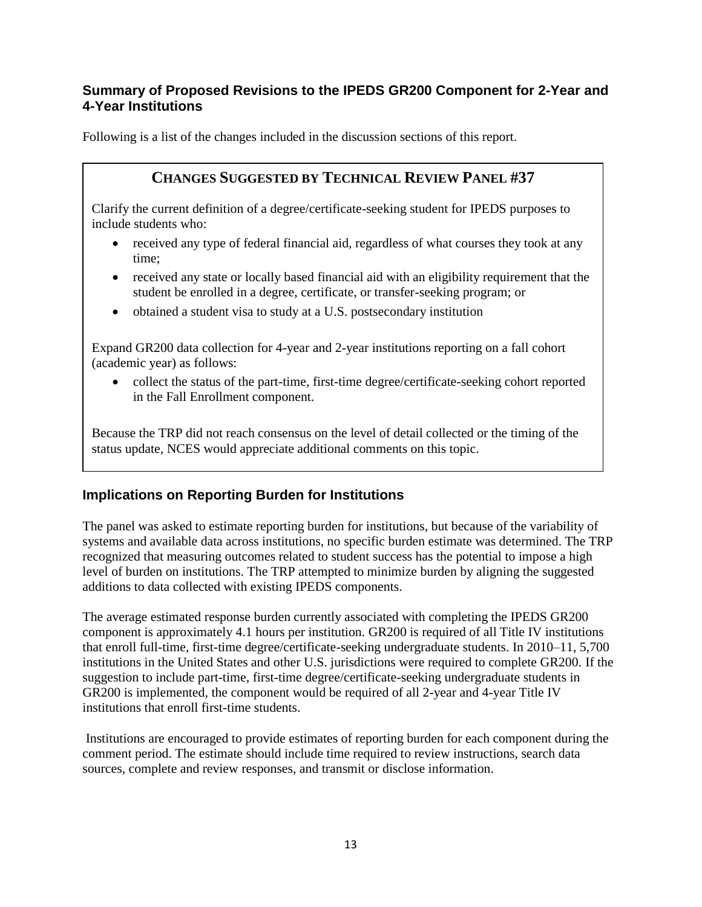## **Summary of Proposed Revisions to the IPEDS GR200 Component for 2-Year and 4-Year Institutions**

Following is a list of the changes included in the discussion sections of this report.

# **CHANGES SUGGESTED BY TECHNICAL REVIEW PANEL #37**

Clarify the current definition of a degree/certificate-seeking student for IPEDS purposes to include students who:

- received any type of federal financial aid, regardless of what courses they took at any time;
- received any state or locally based financial aid with an eligibility requirement that the student be enrolled in a degree, certificate, or transfer-seeking program; or
- obtained a student visa to study at a U.S. postsecondary institution

Expand GR200 data collection for 4-year and 2-year institutions reporting on a fall cohort (academic year) as follows:

 collect the status of the part-time, first-time degree/certificate-seeking cohort reported in the Fall Enrollment component.

Because the TRP did not reach consensus on the level of detail collected or the timing of the status update, NCES would appreciate additional comments on this topic.

# **Implications on Reporting Burden for Institutions**

The panel was asked to estimate reporting burden for institutions, but because of the variability of systems and available data across institutions, no specific burden estimate was determined. The TRP recognized that measuring outcomes related to student success has the potential to impose a high level of burden on institutions. The TRP attempted to minimize burden by aligning the suggested additions to data collected with existing IPEDS components.

The average estimated response burden currently associated with completing the IPEDS GR200 component is approximately 4.1 hours per institution. GR200 is required of all Title IV institutions that enroll full-time, first-time degree/certificate-seeking undergraduate students. In 2010–11, 5,700 institutions in the United States and other U.S. jurisdictions were required to complete GR200. If the suggestion to include part-time, first-time degree/certificate-seeking undergraduate students in GR200 is implemented, the component would be required of all 2-year and 4-year Title IV institutions that enroll first-time students.

Institutions are encouraged to provide estimates of reporting burden for each component during the comment period. The estimate should include time required to review instructions, search data sources, complete and review responses, and transmit or disclose information.